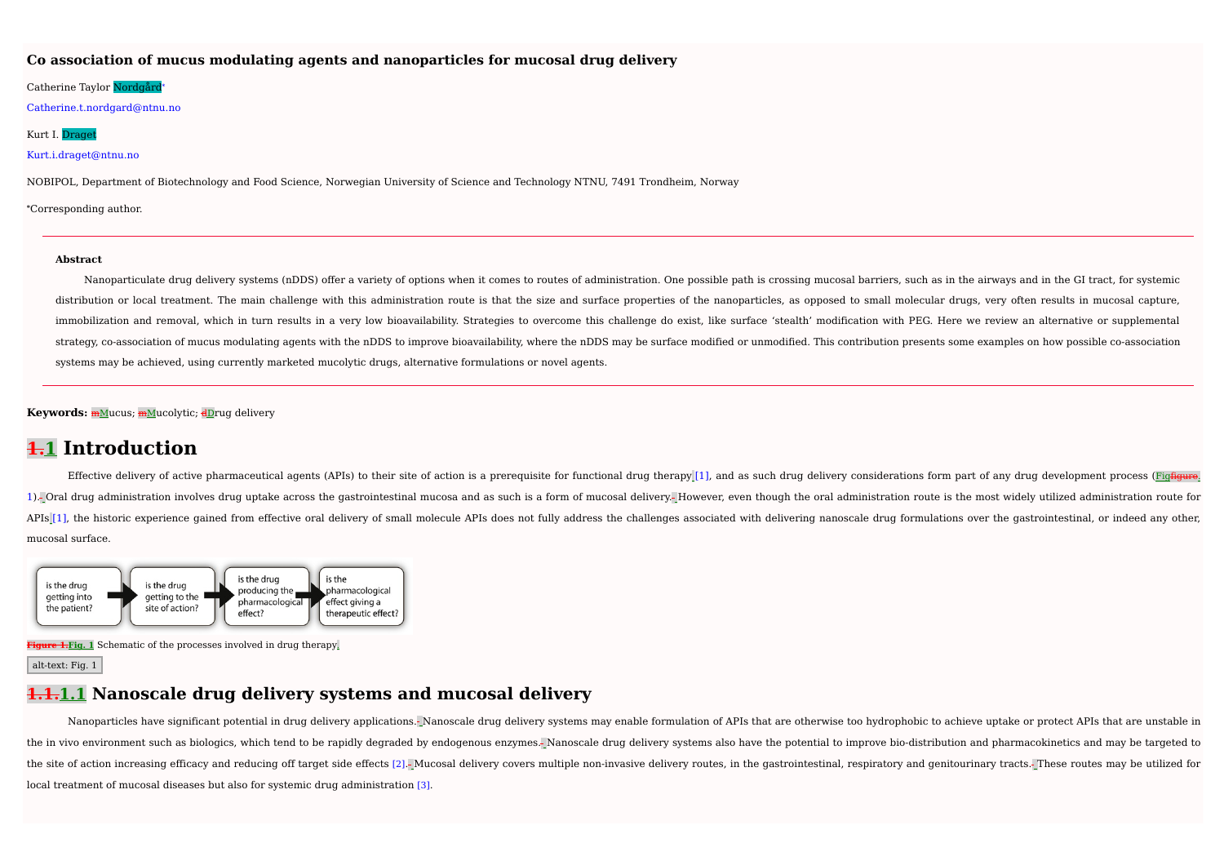### **Co association of mucus modulating agents and nanoparticles for mucosal drug delivery**

#### Catherine Taylor Nordgård\*

Catherine.t.nordgard@ntnu.no

### Kurt I. Draget

#### Kurt.i.draget@ntnu.no

NOBIPOL, Department of Biotechnology and Food Science, Norwegian University of Science and Technology NTNU, 7491 Trondheim, Norway

**⁎**Corresponding author.

#### **Abstract**

Nanoparticulate drug delivery systems (nDDS) offer a variety of options when it comes to routes of administration. One possible path is crossing mucosal barriers, such as in the airways and in the GI tract, for systemic distribution or local treatment. The main challenge with this administration route is that the size and surface properties of the nanoparticles, as opposed to small molecular drugs, very often results in mucosal capture, immobilization and removal, which in turn results in a very low bioavailability. Strategies to overcome this challenge do exist, like surface 'stealth' modification with PEG. Here we review an alternative or supplemental strategy, co-association of mucus modulating agents with the nDDS to improve bioavailability, where the nDDS may be surface modified or unmodified. This contribution presents some examples on how possible co-association systems may be achieved, using currently marketed mucolytic drugs, alternative formulations or novel agents.

**Keywords:** mMucus; mMucolytic; dDrug delivery

# **1.1 Introduction**

Effective delivery of active pharmaceutical agents (APIs) to their site of action is a prerequisite for functional drug therapy [1], and as such drug delivery considerations form part of any drug development process (Fig<del>f</del> 1). Oral drug administration involves drug uptake across the gastrointestinal mucosa and as such is a form of mucosal delivery. However, even though the oral administration route is the most widely utilized administration APIs<sup>[1]</sup>, the historic experience gained from effective oral delivery of small molecule APIs does not fully address the challenges associated with delivering nanoscale drug formulations over the gastrointestinal, or indee mucosal surface.



**Figure 1.Fig. 1** Schematic of the processes involved in drug therapy.

#### alt-text: Fig. 1

### **1.1.1.1 Nanoscale drug delivery systems and mucosal delivery**

Nanoparticles have significant potential in drug delivery applications. Nanoscale drug delivery systems may enable formulation of APIs that are otherwise too hydrophobic to achieve uptake or protect APIs that are unstable the in vivo environment such as biologics, which tend to be rapidly degraded by endogenous enzymes. Nanoscale drug delivery systems also have the potential to improve bio-distribution and pharmacokinetics and may be target the site of action increasing efficacy and reducing off target side effects [2]. Mucosal delivery covers multiple non-invasive delivery routes, in the gastrointestinal, respiratory and genitourinary tracts. These routes ma local treatment of mucosal diseases but also for systemic drug administration [3].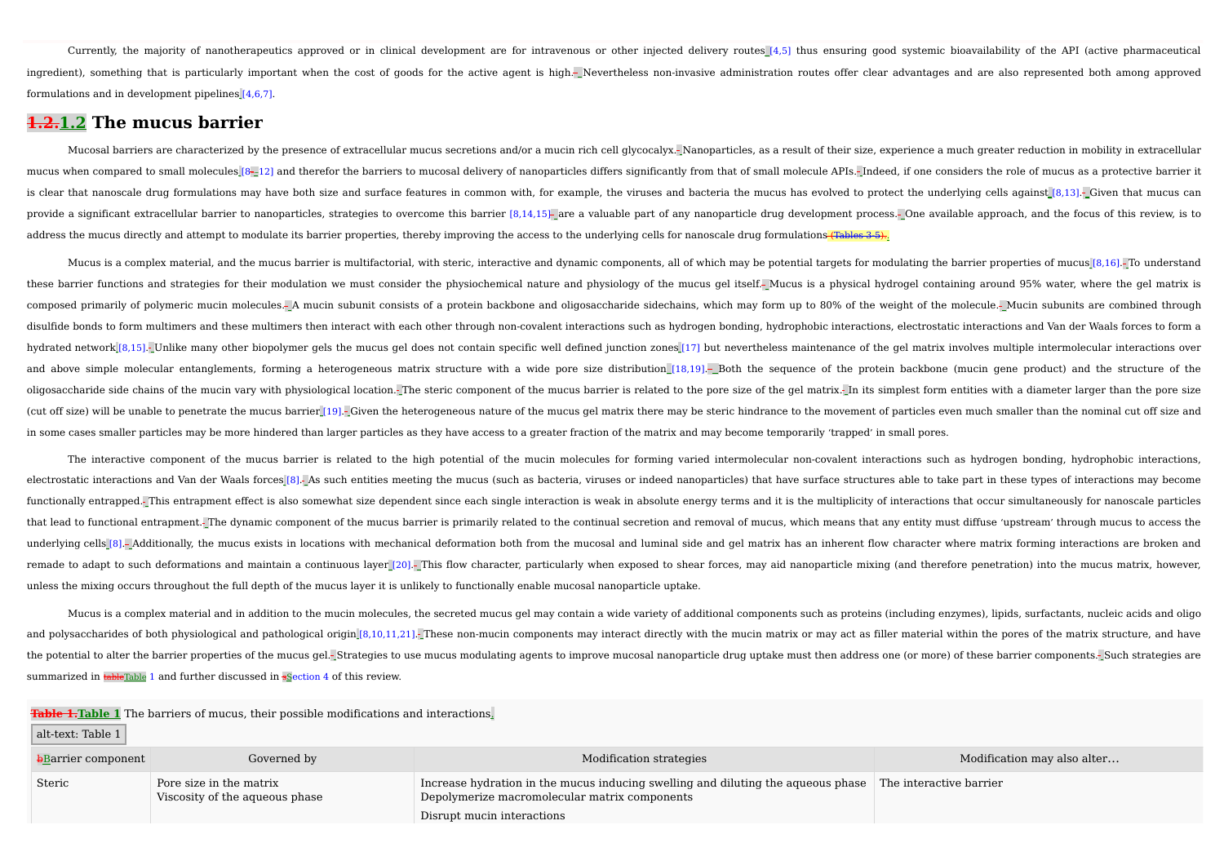Currently, the majority of nanotherapeutics approved or in clinical development are for intravenous or other injected delivery routes [4,5] thus ensuring good systemic bioavailability of the API (active pharmaceutical ingredient), something that is particularly important when the cost of goods for the active agent is high. Nevertheless non-invasive administration routes offer clear advantages and are also represented both among approved formulations and in development pipelines [4,6,7].

### **1.2.1.2 The mucus barrier**

Mucosal barriers are characterized by the presence of extracellular mucus secretions and/or a mucin rich cell glycocalyx. Nanoparticles, as a result of their size, experience a much greater reduction in mobility in extrace mucus when compared to small molecules [8-12] and therefor the barriers to mucosal delivery of nanoparticles differs significantly from that of small molecule APIs.- Indeed, if one considers the role of mucus as a protecti is clear that nanoscale drug formulations may have both size and surface features in common with, for example, the viruses and bacteria the mucus has evolved to protect the underlying cells against [8,13]. Given that mucus provide a significant extracellular barrier to nanoparticles, strategies to overcome this barrier [8,14,15}- are a valuable part of any nanoparticle drug development process.- One available approach, and the focus of this address the mucus directly and attempt to modulate its barrier properties, thereby improving the access to the underlying cells for nanoscale drug formulations (Tables 3-5).

Mucus is a complex material, and the mucus barrier is multifactorial, with steric, interactive and dynamic components, all of which may be potential targets for modulating the barrier properties of mucus [8,16]. To underst these barrier functions and strategies for their modulation we must consider the physiochemical nature and physiology of the mucus gel itself. Mucus is a physical hydrogel containing around 95% water, where the gel matrix is composed primarily of polymeric mucin molecules. A mucin subunit consists of a protein backbone and oligosaccharide sidechains, which may form up to 80% of the weight of the molecule. Mucin subunits are combined through disulfide bonds to form multimers and these multimers then interact with each other through non-covalent interactions such as hydrogen bonding, hydrophobic interactions, electrostatic interactions and Van der Waals forces hydrated network [8,15]. Unlike many other biopolymer gels the mucus gel does not contain specific well defined junction zones [17] but nevertheless maintenance of the gel matrix involves multiple intermolecular interactio and above simple molecular entanglements, forming a heterogeneous matrix structure with a wide pore size distribution [18,19]. Both the sequence of the protein backbone (mucin gene product) and the structure of the oligosaccharide side chains of the mucin vary with physiological location. The steric component of the mucus barrier is related to the pore size of the gel matrix. In its simplest form entities with a diameter larger than (cut off size) will be unable to penetrate the mucus barrier [19].- Given the heterogeneous nature of the mucus gel matrix there may be steric hindrance to the movement of particles even much smaller than the nominal cut o in some cases smaller particles may be more hindered than larger particles as they have access to a greater fraction of the matrix and may become temporarily 'trapped' in small pores.

The interactive component of the mucus barrier is related to the high potential of the mucin molecules for forming varied intermolecular non-covalent interactions such as hydrogen bonding, hydrophobic interactions, electrostatic interactions and Van der Waals forces [8]. As such entities meeting the mucus (such as bacteria, viruses or indeed nanoparticles) that have surface structures able to take part in these types of interactions functionally entrapped. This entrapment effect is also somewhat size dependent since each single interaction is weak in absolute energy terms and it is the multiplicity of interactions that occur simultaneously for nanosca that lead to functional entrapment.<sup>1</sup> The dynamic component of the mucus barrier is primarily related to the continual secretion and removal of mucus, which means that any entity must diffuse 'upstream' through mucus to a underlying cells [8].- Additionally, the mucus exists in locations with mechanical deformation both from the mucosal and luminal side and gel matrix has an inherent flow character where matrix forming interactions are brok remade to adapt to such deformations and maintain a continuous layer [20]. This flow character, particularly when exposed to shear forces, may aid nanoparticle mixing (and therefore penetration) into the mucus matrix, howe unless the mixing occurs throughout the full depth of the mucus layer it is unlikely to functionally enable mucosal nanoparticle uptake.

Mucus is a complex material and in addition to the mucin molecules, the secreted mucus gel may contain a wide variety of additional components such as proteins (including enzymes), lipids, surfactants, nucleic acids and ol and polysaccharides of both physiological and pathological origin [8,10,11,21]. These non-mucin components may interact directly with the mucin matrix or may act as filler material within the pores of the matrix structure, the potential to alter the barrier properties of the mucus gel. Strategies to use mucus modulating agents to improve mucosal nanoparticle drug uptake must then address one (or more) of these barrier components. Such strate summarized in tableTable 1 and further discussed in sSection 4 of this review.

**Table 1.Table 1** The barriers of mucus, their possible modifications and interactions.

alt-text: Table 1

| <b>b</b> Barrier component | Governed by                                               | Modification strategies                                                                                                                                         | Modification may also alter |
|----------------------------|-----------------------------------------------------------|-----------------------------------------------------------------------------------------------------------------------------------------------------------------|-----------------------------|
| Steric                     | Pore size in the matrix<br>Viscosity of the aqueous phase | Increase hydration in the mucus inducing swelling and diluting the aqueous phase<br>Depolymerize macromolecular matrix components<br>Disrupt mucin interactions | The interactive barrier     |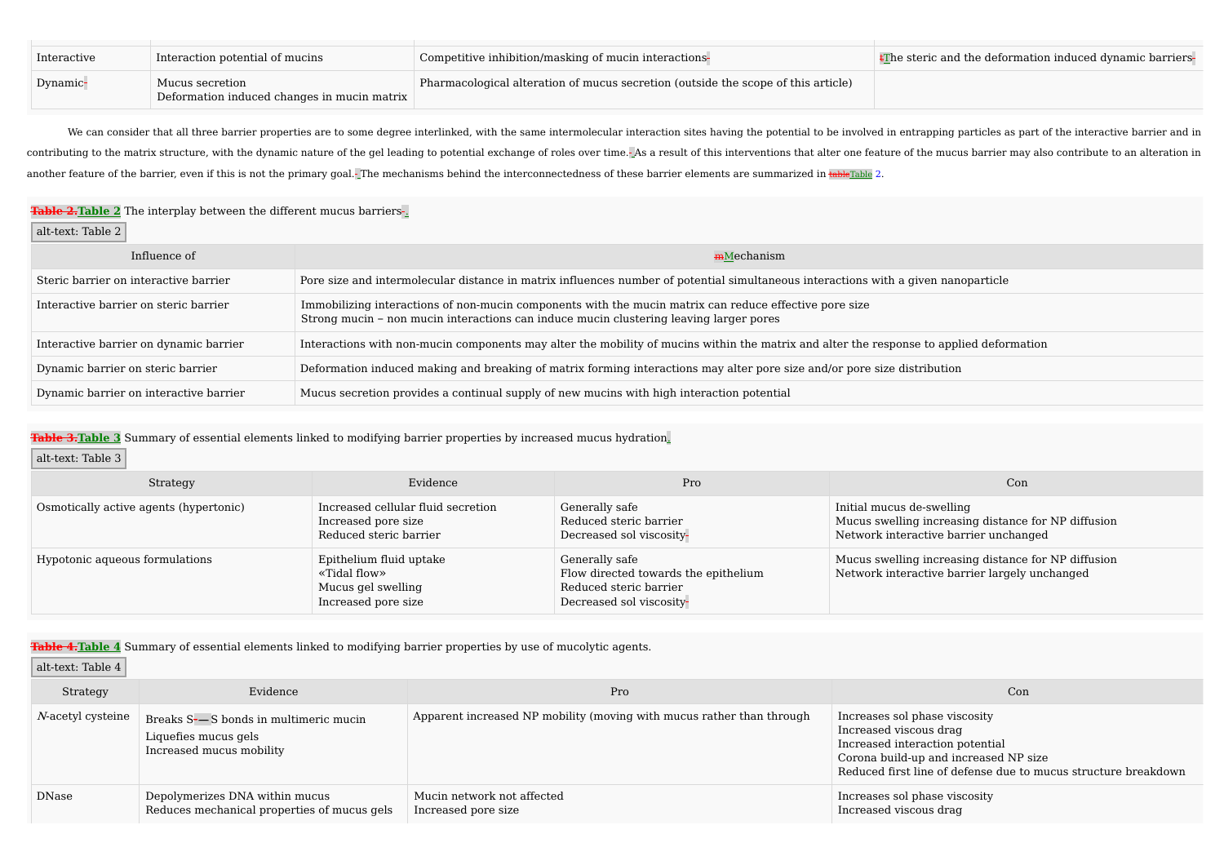| Interactive | Interaction potential of mucins                                | Competitive inhibition/masking of mucin interactions-                             | EThe steric and the deformation induced dynamic barriers- |
|-------------|----------------------------------------------------------------|-----------------------------------------------------------------------------------|-----------------------------------------------------------|
| Dynamic-    | Mucus secretion<br>Deformation induced changes in mucin matrix | Pharmacological alteration of mucus secretion (outside the scope of this article) |                                                           |

We can consider that all three barrier properties are to some degree interlinked, with the same intermolecular interaction sites having the potential to be involved in entrapping particles as part of the interactive barrie contributing to the matrix structure, with the dynamic nature of the gel leading to potential exchange of roles over time. As a result of this interventions that alter one feature of the mucus barrier may also contribute t another feature of the barrier, even if this is not the primary goal. The mechanisms behind the interconnectedness of these barrier elements are summarized in tableTable 2.

### **Table 2. Table 2** The interplay between the different mucus barriers-

alt-text: Table 2

| Influence of                           | <b>mMechanism</b>                                                                                                                                                                                |
|----------------------------------------|--------------------------------------------------------------------------------------------------------------------------------------------------------------------------------------------------|
| Steric barrier on interactive barrier  | Pore size and intermolecular distance in matrix influences number of potential simultaneous interactions with a given nanoparticle                                                               |
| Interactive barrier on steric barrier  | Immobilizing interactions of non-mucin components with the mucin matrix can reduce effective pore size<br>Strong mucin – non mucin interactions can induce mucin clustering leaving larger pores |
| Interactive barrier on dynamic barrier | Interactions with non-mucin components may alter the mobility of mucins within the matrix and alter the response to applied deformation                                                          |
| Dynamic barrier on steric barrier      | Deformation induced making and breaking of matrix forming interactions may alter pore size and/or pore size distribution                                                                         |
| Dynamic barrier on interactive barrier | Mucus secretion provides a continual supply of new mucins with high interaction potential                                                                                                        |

### **Table 3.Table 3** Summary of essential elements linked to modifying barrier properties by increased mucus hydration.

### alt-text: Table 3

| Strategy                               | Evidence                                                                             | Pro                                                                                                          | Con                                                                                                                       |
|----------------------------------------|--------------------------------------------------------------------------------------|--------------------------------------------------------------------------------------------------------------|---------------------------------------------------------------------------------------------------------------------------|
| Osmotically active agents (hypertonic) | Increased cellular fluid secretion<br>Increased pore size<br>Reduced steric barrier  | Generally safe<br>Reduced steric barrier<br>Decreased sol viscosity-                                         | Initial mucus de-swelling<br>Mucus swelling increasing distance for NP diffusion<br>Network interactive barrier unchanged |
| Hypotonic aqueous formulations         | Epithelium fluid uptake<br>«Tidal flow»<br>Mucus gel swelling<br>Increased pore size | Generally safe<br>Flow directed towards the epithelium<br>Reduced steric barrier<br>Decreased sol viscosity- | Mucus swelling increasing distance for NP diffusion<br>Network interactive barrier largely unchanged                      |

**Table 4.Table 4** Summary of essential elements linked to modifying barrier properties by use of mucolytic agents.

### alt-text: Table 4

| Strategy          | Evidence                                                                                  | Pro                                                                   | Con                                                                                                                                                                                                   |
|-------------------|-------------------------------------------------------------------------------------------|-----------------------------------------------------------------------|-------------------------------------------------------------------------------------------------------------------------------------------------------------------------------------------------------|
| N-acetyl cysteine | Breaks S-—S bonds in multimeric mucin<br>Liquefies mucus gels<br>Increased mucus mobility | Apparent increased NP mobility (moving with mucus rather than through | Increases sol phase viscosity<br>Increased viscous drag<br>Increased interaction potential<br>Corona build-up and increased NP size<br>Reduced first line of defense due to mucus structure breakdown |
| DNase             | Depolymerizes DNA within mucus<br>Reduces mechanical properties of mucus gels             | Mucin network not affected<br>Increased pore size                     | Increases sol phase viscosity<br>Increased viscous drag                                                                                                                                               |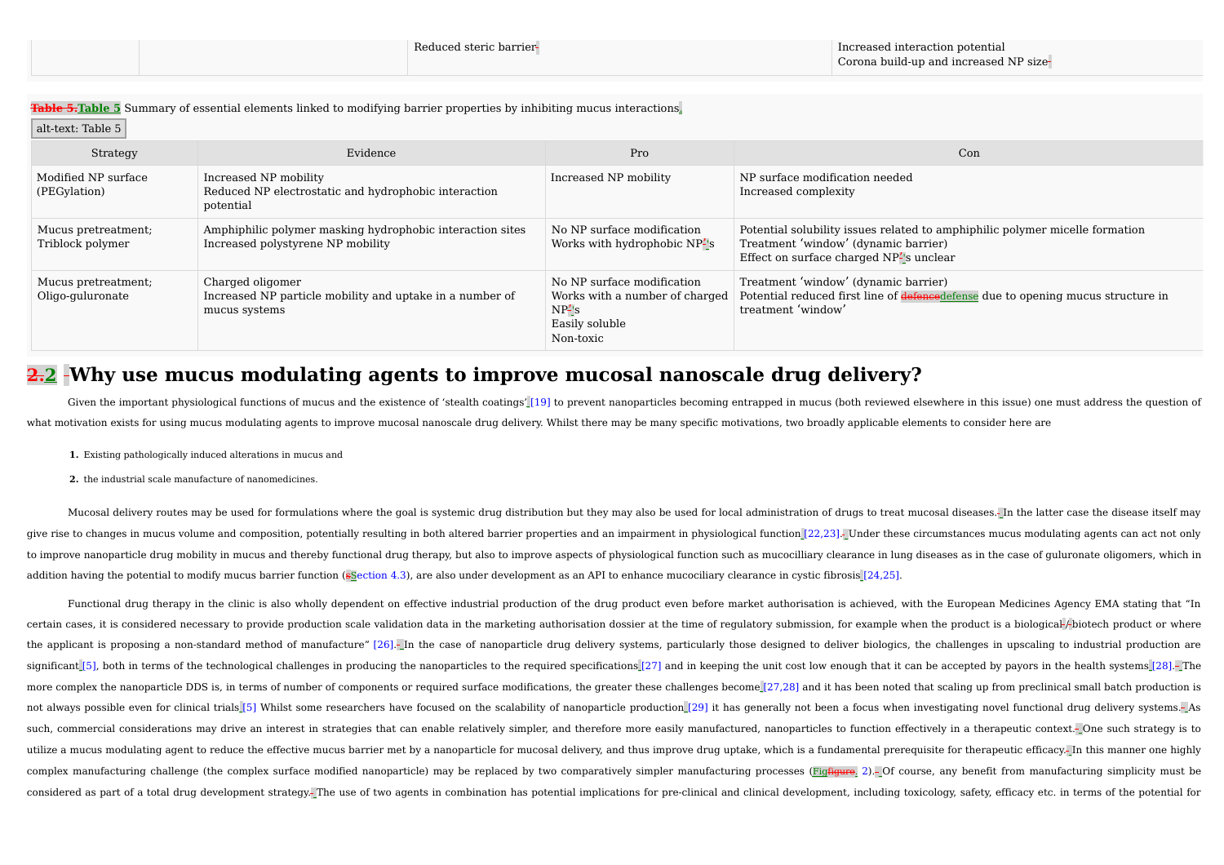**Table 5.Table 5** Summary of essential elements linked to modifying barrier properties by inhibiting mucus interactions.

### alt-text: Table 5

| Strategy                                | Evidence                                                                                       | Pro                                                                                                      | Con                                                                                                                                                            |
|-----------------------------------------|------------------------------------------------------------------------------------------------|----------------------------------------------------------------------------------------------------------|----------------------------------------------------------------------------------------------------------------------------------------------------------------|
| Modified NP surface<br>(PEGylation)     | Increased NP mobility<br>Reduced NP electrostatic and hydrophobic interaction<br>potential     | Increased NP mobility                                                                                    | NP surface modification needed<br>Increased complexity                                                                                                         |
| Mucus pretreatment;<br>Triblock polymer | Amphiphilic polymer masking hydrophobic interaction sites<br>Increased polystyrene NP mobility | No NP surface modification<br>Works with hydrophobic NP's                                                | Potential solubility issues related to amphiphilic polymer micelle formation<br>Treatment 'window' (dynamic barrier)<br>Effect on surface charged NP's unclear |
| Mucus pretreatment;<br>Oligo-guluronate | Charged oligomer<br>Increased NP particle mobility and uptake in a number of<br>mucus systems  | No NP surface modification<br>Works with a number of charged<br>$NP^2$ 's<br>Easily soluble<br>Non-toxic | Treatment 'window' (dynamic barrier)<br>Potential reduced first line of defenced efense due to opening mucus structure in<br>treatment 'window'                |

# **2.2 Why use mucus modulating agents to improve mucosal nanoscale drug delivery?**

Given the important physiological functions of mucus and the existence of 'stealth coatings' [19] to prevent nanoparticles becoming entrapped in mucus (both reviewed elsewhere in this issue) one must address the question o what motivation exists for using mucus modulating agents to improve mucosal nanoscale drug delivery. Whilst there may be many specific motivations, two broadly applicable elements to consider here are

- **1.** Existing pathologically induced alterations in mucus and
- **2.** the industrial scale manufacture of nanomedicines.

Mucosal delivery routes may be used for formulations where the goal is systemic drug distribution but they may also be used for local administration of drugs to treat mucosal diseases. In the latter case the disease itself give rise to changes in mucus volume and composition, potentially resulting in both altered barrier properties and an impairment in physiological function [22,23]. Under these circumstances mucus modulating agents can act to improve nanoparticle drug mobility in mucus and thereby functional drug therapy, but also to improve aspects of physiological function such as mucocilliary clearance in lung diseases as in the case of guluronate oligome addition having the potential to modify mucus barrier function (sSection 4.3), are also under development as an API to enhance mucociliary clearance in cystic fibrosis [24,25].

Functional drug therapy in the clinic is also wholly dependent on effective industrial production of the drug product even before market authorisation is achieved, with the European Medicines Agency EMA stating that "In certain cases, it is considered necessary to provide production scale validation data in the marketing authorisation dossier at the time of requlatory submission, for example when the product is a biological-/-biotech prod the applicant is proposing a non-standard method of manufacture" [26]. In the case of nanoparticle drug delivery systems, particularly those designed to deliver biologics, the challenges in upscaling to industrial producti significant [5], both in terms of the technological challenges in producing the nanoparticles to the required specifications [27] and in keeping the unit cost low enough that it can be accepted by payors in the health syst more complex the nanoparticle DDS is, in terms of number of components or required surface modifications, the greater these challenges become [27,28] and it has been noted that scaling up from preclinical small batch produ not always possible even for clinical trials [5] Whilst some researchers have focused on the scalability of nanoparticle production [29] it has generally not been a focus when investigating novel functional drug delivery s such, commercial considerations may drive an interest in strategies that can enable relatively simpler, and therefore more easily manufactured, nanoparticles to function effectively in a therapeutic context. One such strat utilize a mucus modulating agent to reduce the effective mucus barrier met by a nanoparticle for mucosal delivery, and thus improve drug uptake, which is a fundamental prerequisite for therapeutic efficacy. In this manner complex manufacturing challenge (the complex surface modified nanoparticle) may be replaced by two comparatively simpler manufacturing processes (Fig<del>figure</del>. 2). Of course, any benefit from manufacturing simplicity must b considered as part of a total drug development strategy. The use of two agents in combination has potential implications for pre-clinical and clinical development, including toxicology, safety, efficacy etc. in terms of th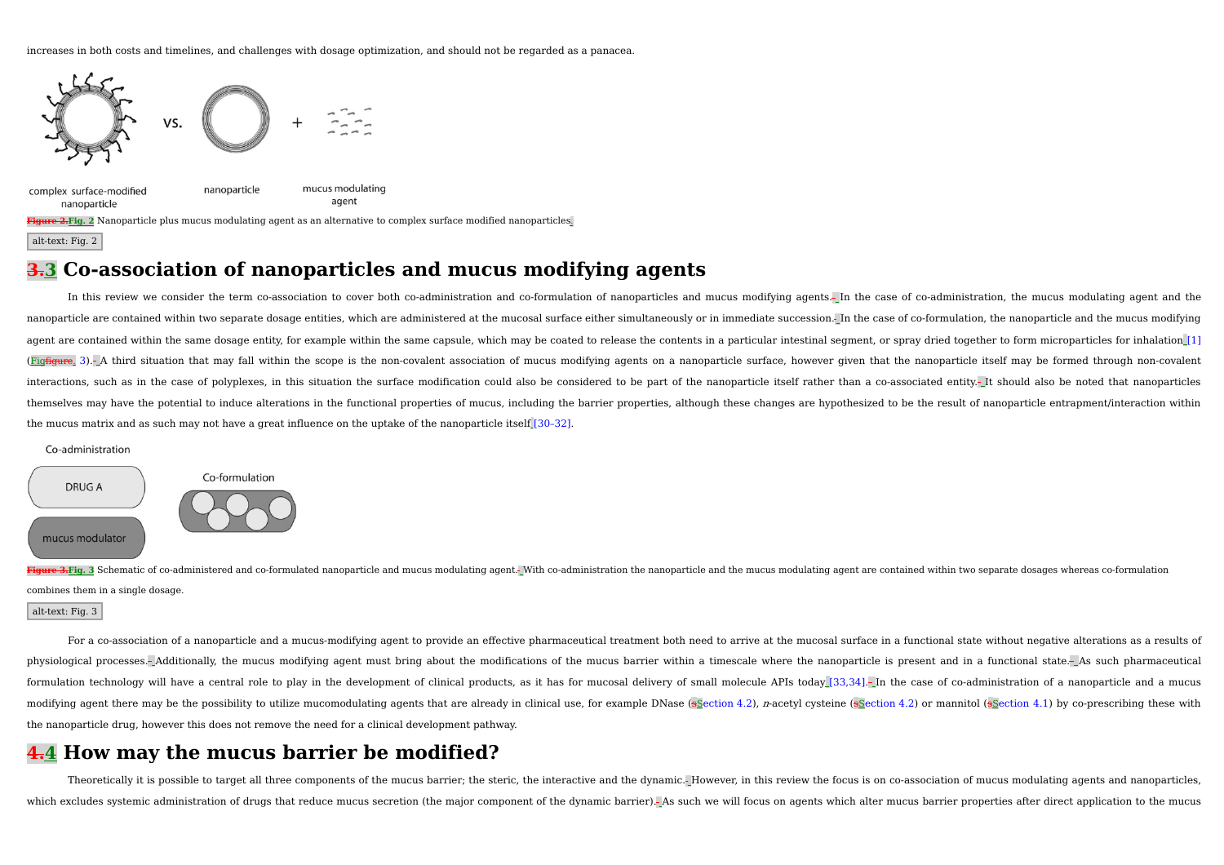increases in both costs and timelines, and challenges with dosage optimization, and should not be regarded as a panacea.



alt-text: Fig. 2

# **3.3 Co-association of nanoparticles and mucus modifying agents**

In this review we consider the term co-association to cover both co-administration and co-formulation of nanoparticles and mucus modifying agents. In the case of co-administration, the mucus modulating agent and the nanoparticle are contained within two separate dosage entities, which are administered at the mucosal surface either simultaneously or in immediate succession. In the case of co-formulation, the nanoparticle and the mucus agent are contained within the same dosage entity, for example within the same capsule, which may be coated to release the contents in a particular intestinal segment, or spray dried together to form microparticles for inh (Fig<del>fiqure</del>, 3).- A third situation that may fall within the scope is the non-covalent association of mucus modifying agents on a nanoparticle surface, however given that the nanoparticle itself may be formed through noninteractions, such as in the case of polyplexes, in this situation the surface modification could also be considered to be part of the nanoparticle itself rather than a co-associated entity. It should also be noted that na themselves may have the potential to induce alterations in the functional properties of mucus, including the barrier properties, although these changes are hypothesized to be the result of nanoparticle entrapment/interacti the mucus matrix and as such may not have a great influence on the uptake of the nanoparticle itself [30–32].

#### Co-administration



Figure 3-Fig. 3 Schematic of co-administered and co-formulated nanoparticle and mucus modulating agent.- With co-administration the nanoparticle and the mucus modulating agent are contained within two separate dosages wher combines them in a single dosage.

#### alt-text: Fig. 3

For a co-association of a nanoparticle and a mucus-modifying agent to provide an effective pharmaceutical treatment both need to arrive at the mucosal surface in a functional state without negative alterations as a results physiological processes. Additionally, the mucus modifying agent must bring about the modifications of the mucus barrier within a timescale where the nanoparticle is present and in a functional state. As such pharmaceutical formulation technology will have a central role to play in the development of clinical products, as it has for mucosal delivery of small molecule APIs today [33,34]. In the case of co-administration of a nanoparticle and a modifying agent there may be the possibility to utilize mucomodulating agents that are already in clinical use, for example DNase (sSection 4.2), n-acetyl cysteine (sSection 4.2) or mannitol (sSection 4.1) by co-prescribin the nanoparticle drug, however this does not remove the need for a clinical development pathway.

# **4.4 How may the mucus barrier be modified?**

Theoretically it is possible to target all three components of the mucus barrier; the steric, the interactive and the dynamic.- However, in this review the focus is on co-association of mucus modulating agents and nanopart which excludes systemic administration of drugs that reduce mucus secretion (the major component of the dynamic barrier). As such we will focus on agents which alter mucus barrier properties after direct application to the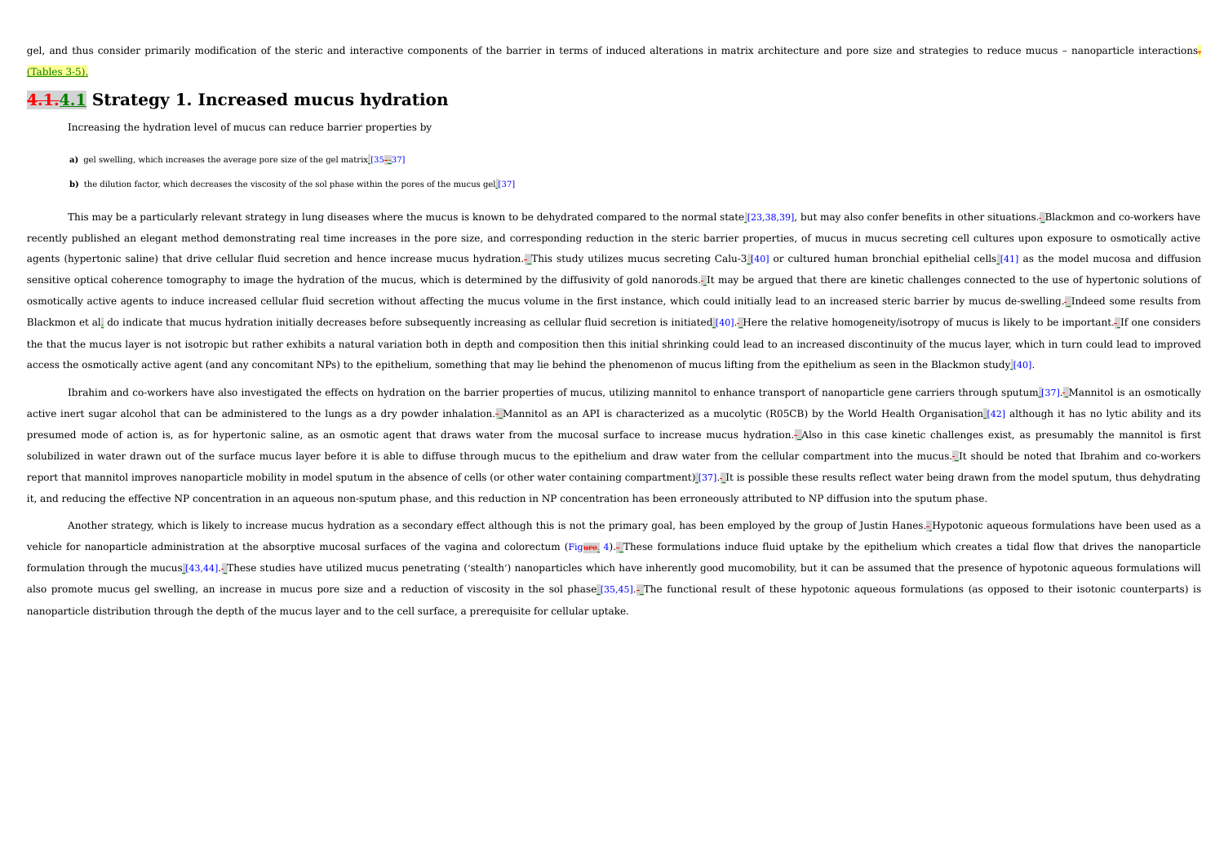gel, and thus consider primarily modification of the steric and interactive components of the barrier in terms of induced alterations in matrix architecture and pore size and strategies to reduce mucus - nanoparticle inter (Tables 3-5).

### **4.1.4.1 Strategy 1. Increased mucus hydration**

Increasing the hydration level of mucus can reduce barrier properties by

**a)** gel swelling, which increases the average pore size of the gel matrix [35––37]

**b**) the dilution factor, which decreases the viscosity of the sol phase within the pores of the mucus gel [37]

This may be a particularly relevant strategy in lung diseases where the mucus is known to be dehydrated compared to the normal state [23,38,39], but may also confer benefits in other situations. Blackmon and co-workers hav recently published an elegant method demonstrating real time increases in the pore size, and corresponding reduction in the steric barrier properties, of mucus in mucus secreting cell cultures upon exposure to osmotically agents (hypertonic saline) that drive cellular fluid secretion and hence increase mucus hydration.- This study utilizes mucus secreting Calu-3 [40] or cultured human bronchial epithelial cells [41] as the model mucosa and sensitive optical coherence tomography to image the hydration of the mucus, which is determined by the diffusivity of gold nanorods. It may be argued that there are kinetic challenges connected to the use of hypertonic sol osmotically active agents to induce increased cellular fluid secretion without affecting the mucus volume in the first instance, which could initially lead to an increased steric barrier by mucus de-swelling. Indeed some r Blackmon et all do indicate that mucus hydration initially decreases before subsequently increasing as cellular fluid secretion is initiated [40]. Here the relative homogeneity/isotropy of mucus is likely to be important. the that the mucus layer is not isotropic but rather exhibits a natural variation both in depth and composition then this initial shrinking could lead to an increased discontinuity of the mucus layer, which in turn could l access the osmotically active agent (and any concomitant NPs) to the epithelium, something that may lie behind the phenomenon of mucus lifting from the epithelium as seen in the Blackmon study [40].

Ibrahim and co-workers have also investigated the effects on hydration on the barrier properties of mucus, utilizing mannitol to enhance transport of nanoparticle gene carriers through sputum [37]. Mannitol is an osmotical active inert sugar alcohol that can be administered to the lungs as a dry powder inhalation. Mannitol as an API is characterized as a mucolytic (R05CB) by the World Health Organisation [42] although it has no lytic ability presumed mode of action is, as for hypertonic saline, as an osmotic agent that draws water from the mucosal surface to increase mucus hydration. Also in this case kinetic challenges exist, as presumably the mannitol is fir solubilized in water drawn out of the surface mucus layer before it is able to diffuse through mucus to the epithelium and draw water from the cellular compartment into the mucus. It should be noted that Ibrahim and co-wor report that mannitol improves nanoparticle mobility in model sputum in the absence of cells (or other water containing compartment) [37]. It is possible these results reflect water being drawn from the model sputum, thus d it, and reducing the effective NP concentration in an aqueous non-sputum phase, and this reduction in NP concentration has been erroneously attributed to NP diffusion into the sputum phase.

Another strategy, which is likely to increase mucus hydration as a secondary effect although this is not the primary goal, has been employed by the group of Justin Hanes. Hypotonic aqueous formulations have been used as a vehicle for nanoparticle administration at the absorptive mucosal surfaces of the vagina and colorectum (Figure, 4). These formulations induce fluid uptake by the epithelium which creates a tidal flow that drives the nanop formulation through the mucus [43,44]. These studies have utilized mucus penetrating ('stealth') nanoparticles which have inherently good mucomobility, but it can be assumed that the presence of hypotonic aqueous formulati also promote mucus gel swelling, an increase in mucus pore size and a reduction of viscosity in the sol phase [35,45]. The functional result of these hypotonic aqueous formulations (as opposed to their isotonic counterpart nanoparticle distribution through the depth of the mucus layer and to the cell surface, a prerequisite for cellular uptake.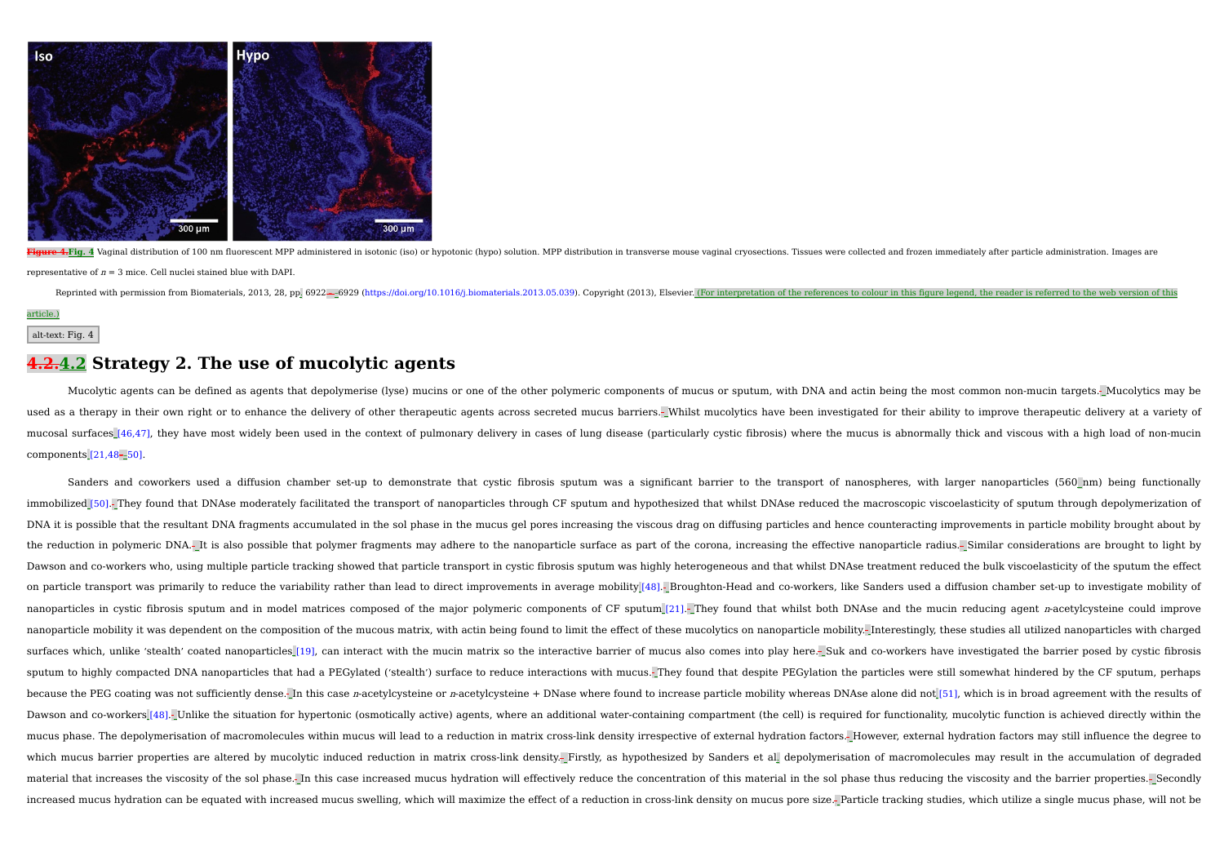

4. Fig. 4 Vaginal distribution of 100 nm fluorescent MPP administered in isotonic (iso) or hypotonic (hypo) solution. MPP distribution in transverse mouse vaginal cryosections. Tissues were collected and frozen immediately representative of  $n = 3$  mice. Cell nuclei stained blue with DAPI.

Reprinted with permission from Biomaterials, 2013, 28, pp. 6922-6929 (https://doi.org/10.1016/j.biomaterials.2013.05.039). Copyright (2013), Elsevier. (For interpretation of the references to colour in this figure legend,

article.)

```
alt-text: Fig. 4
```
## **4.2.4.2 Strategy 2. The use of mucolytic agents**

Mucolytic agents can be defined as agents that depolymerise (lyse) mucins or one of the other polymeric components of mucus or sputum, with DNA and actin being the most common non-mucin targets. Mucolytics may be used as a therapy in their own right or to enhance the delivery of other therapeutic agents across secreted mucus barriers.- Whilst mucolytics have been investigated for their ability to improve therapeutic delivery at a v mucosal surfaces [46,47], they have most widely been used in the context of pulmonary delivery in cases of lung disease (particularly cystic fibrosis) where the mucus is abnormally thick and viscous with a high load of non components [21,48––50].

Sanders and coworkers used a diffusion chamber set-up to demonstrate that cystic fibrosis sputum was a significant barrier to the transport of nanospheres, with larger nanoparticles (560 nm) being functionally immobilized [50]. They found that DNAse moderately facilitated the transport of nanoparticles through CF sputum and hypothesized that whilst DNAse reduced the macroscopic viscoelasticity of sputum through depolymerization DNA it is possible that the resultant DNA fragments accumulated in the sol phase in the mucus gel pores increasing the viscous drag on diffusing particles and hence counteracting improvements in particle mobility brought a the reduction in polymeric DNA.- It is also possible that polymer fragments may adhere to the nanoparticle surface as part of the corona, increasing the effective nanoparticle radius.- Similar considerations are brought to Dawson and co-workers who, using multiple particle tracking showed that particle transport in cystic fibrosis sputum was highly heterogeneous and that whilst DNAse treatment reduced the bulk viscoelasticity of the sputum t on particle transport was primarily to reduce the variability rather than lead to direct improvements in average mobility [48]. Broughton-Head and co-workers, like Sanders used a diffusion chamber set-up to investigate mob nanoparticles in cystic fibrosis sputum and in model matrices composed of the major polymeric components of CF sputum [21]. They found that whilst both DNAse and the mucin reducing agent n-acetylcysteine could improve nanoparticle mobility it was dependent on the composition of the mucous matrix, with actin being found to limit the effect of these mucolytics on nanoparticle mobility. Interestingly, these studies all utilized nanoparticl surfaces which, unlike 'stealth' coated nanoparticles [19], can interact with the mucin matrix so the interactive barrier of mucus also comes into play here. Suk and co-workers have investigated the barrier posed by cystic sputum to highly compacted DNA nanoparticles that had a PEGylated ('stealth') surface to reduce interactions with mucus. They found that despite PEGylation the particles were still somewhat hindered by the CF sputum, perha because the PEG coating was not sufficiently dense. In this case n-acetylcysteine or n-acetylcysteine + DNase where found to increase particle mobility whereas DNAse alone did not [51], which is in broad agreement with the Dawson and co-workers [48]. Unlike the situation for hypertonic (osmotically active) agents, where an additional water-containing compartment (the cell) is required for functionality, mucolytic function is achieved directl mucus phase. The depolymerisation of macromolecules within mucus will lead to a reduction in matrix cross-link density irrespective of external hydration factors. However, external hydration factors may still influence the which mucus barrier properties are altered by mucolytic induced reduction in matrix cross-link density. Firstly, as hypothesized by Sanders et al. depolymerisation of macromolecules may result in the accumulation of degrad material that increases the viscosity of the sol phase. In this case increased mucus hydration will effectively reduce the concentration of this material in the sol phase thus reducing the viscosity and the barrier propert increased mucus hydration can be equated with increased mucus swelling, which will maximize the effect of a reduction in cross-link density on mucus pore size. Particle tracking studies, which utilize a single mucus phase,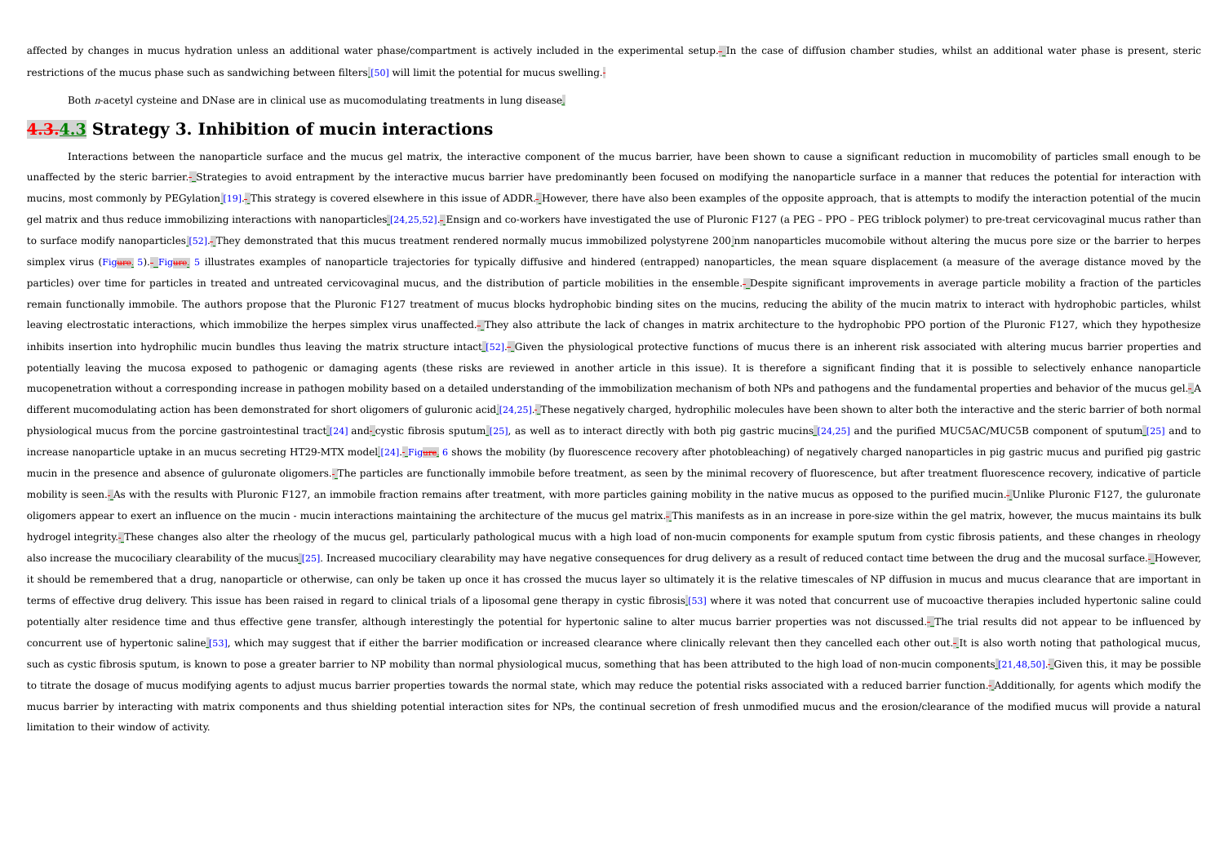affected by changes in mucus hydration unless an additional water phase/compartment is actively included in the experimental setup. In the case of diffusion chamber studies, whilst an additional water phase is present, ste restrictions of the mucus phase such as sandwiching between filters [50] will limit the potential for mucus swelling.

Both <sup>n</sup>-acetyl cysteine and DNase are in clinical use as mucomodulating treatments in lung disease.

### **4.3.4.3 Strategy 3. Inhibition of mucin interactions**

Interactions between the nanoparticle surface and the mucus gel matrix, the interactive component of the mucus barrier, have been shown to cause a significant reduction in mucomobility of particles small enough to be unaffected by the steric barrier.- Strategies to avoid entrapment by the interactive mucus barrier have predominantly been focused on modifying the nanoparticle surface in a manner that reduces the potential for interactio mucins, most commonly by PEGylation [19]. This strategy is covered elsewhere in this issue of ADDR. However, there have also been examples of the opposite approach, that is attempts to modify the interaction potential of t gel matrix and thus reduce immobilizing interactions with nanoparticles [24,25,52]. Ensign and co-workers have investigated the use of Pluronic F127 (a PEG - PPO - PEG triblock polymer) to pre-treat cervicovaginal mucus ra to surface modify nanoparticles [52]. They demonstrated that this mucus treatment rendered normally mucus immobilized polystyrene 200 nm nanoparticles mucomobile without altering the mucus pore size or the barrier to herpe simplex virus (Figure. 5).- Figure. 5 illustrates examples of nanoparticle trajectories for typically diffusive and hindered (entrapped) nanoparticles, the mean square displacement (a measure of the average distance moved particles) over time for particles in treated and untreated cervicovaginal mucus, and the distribution of particle mobilities in the ensemble.- Despite significant improvements in average particle mobility a fraction of th remain functionally immobile. The authors propose that the Pluronic F127 treatment of mucus blocks hydrophobic binding sites on the mucins, reducing the ability of the mucin matrix to interact with hydrophobic particles, w leaving electrostatic interactions, which immobilize the herpes simplex virus unaffected. They also attribute the lack of changes in matrix architecture to the hydrophobic PPO portion of the Pluronic F127, which they hypot inhibits insertion into hydrophilic mucin bundles thus leaving the matrix structure intact [52]. Given the physiological protective functions of mucus there is an inherent risk associated with altering mucus barrier proper potentially leaving the mucosa exposed to pathogenic or damaging agents (these risks are reviewed in another article in this issue). It is therefore a significant finding that it is possible to selectively enhance nanopart mucopenetration without a corresponding increase in pathogen mobility based on a detailed understanding of the immobilization mechanism of both NPs and pathogens and the fundamental properties and behavior of the mucus gel different mucomodulating action has been demonstrated for short oligomers of guluronic acid [24,25]. These negatively charged, hydrophilic molecules have been shown to alter both the interactive and the steric barrier of b physiological mucus from the porcine gastrointestinal tract [24] and- cystic fibrosis sputum [25], as well as to interact directly with both pig gastric mucins [24,25] and the purified MUC5AC/MUC5B component of sputum [25] increase nanoparticle uptake in an mucus secreting HT29-MTX model [24]. Figure, 6 shows the mobility (by fluorescence recovery after photobleaching) of negatively charged nanoparticles in pig gastric mucus and purified pig mucin in the presence and absence of guluronate oligomers. The particles are functionally immobile before treatment, as seen by the minimal recovery of fluorescence, but after treatment fluorescence recovery, indicative of mobility is seen.- As with the results with Pluronic F127, an immobile fraction remains after treatment, with more particles gaining mobility in the native mucus as opposed to the purified mucin.- Unlike Pluronic F127, the oligomers appear to exert an influence on the mucin - mucin interactions maintaining the architecture of the mucus gel matrix. This manifests as in an increase in pore-size within the gel matrix, however, the mucus maintai hydrogel integrity. These changes also alter the rheology of the mucus gel, particularly pathological mucus with a high load of non-mucin components for example sputum from cystic fibrosis patients, and these changes in rh also increase the mucociliary clearability of the mucus [25]. Increased mucociliary clearability may have negative consequences for drug delivery as a result of reduced contact time between the drug and the mucosal surface it should be remembered that a drug, nanoparticle or otherwise, can only be taken up once it has crossed the mucus layer so ultimately it is the relative timescales of NP diffusion in mucus and mucus clearance that are imp terms of effective drug delivery. This issue has been raised in regard to clinical trials of a liposomal gene therapy in cystic fibrosis [53] where it was noted that concurrent use of mucoactive therapies included hyperton potentially alter residence time and thus effective gene transfer, although interestingly the potential for hypertonic saline to alter mucus barrier properties was not discussed. The trial results did not appear to be infl concurrent use of hypertonic saline [53], which may suggest that if either the barrier modification or increased clearance where clinically relevant then they cancelled each other out.-It is also worth noting that patholog such as cystic fibrosis sputum, is known to pose a greater barrier to NP mobility than normal physiological mucus, something that has been attributed to the high load of non-mucin components [21,48,50]. Given this, it may to titrate the dosage of mucus modifying agents to adjust mucus barrier properties towards the normal state, which may reduce the potential risks associated with a reduced barrier function.<sup>1</sup> Additionally, for agents whic mucus barrier by interacting with matrix components and thus shielding potential interaction sites for NPs, the continual secretion of fresh unmodified mucus and the erosion/clearance of the modified mucus will provide a n limitation to their window of activity.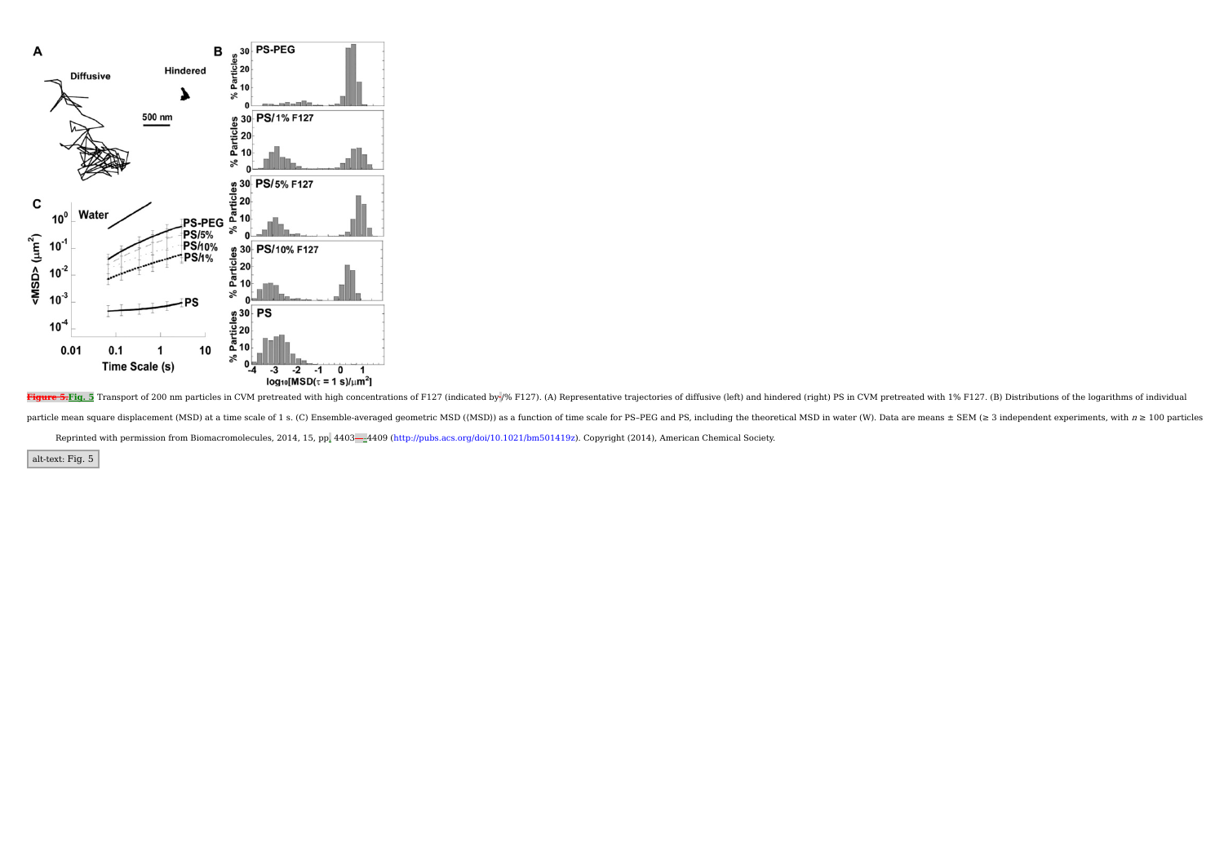

Figure 5.Fig. 5 Transport of 200 nm particles in CVM pretreated with high concentrations of F127 (indicated by % F127). (A) Representative trajectories of diffusive (left) and hindered (right) PS in CVM pretreated with 1% particle mean square displacement (MSD) at a time scale of 1 s. (C) Ensemble-averaged geometric MSD ((MSD)) as a function of time scale for PS-PEG and PS, including the theoretical MSD in water (W). Data are means ± SEM ( Reprinted with permission from Biomacromolecules, 2014, 15, pp. 4403-4409 (http://pubs.acs.org/doi/10.1021/bm501419z). Copyright (2014), American Chemical Society.

alt-text: Fig. 5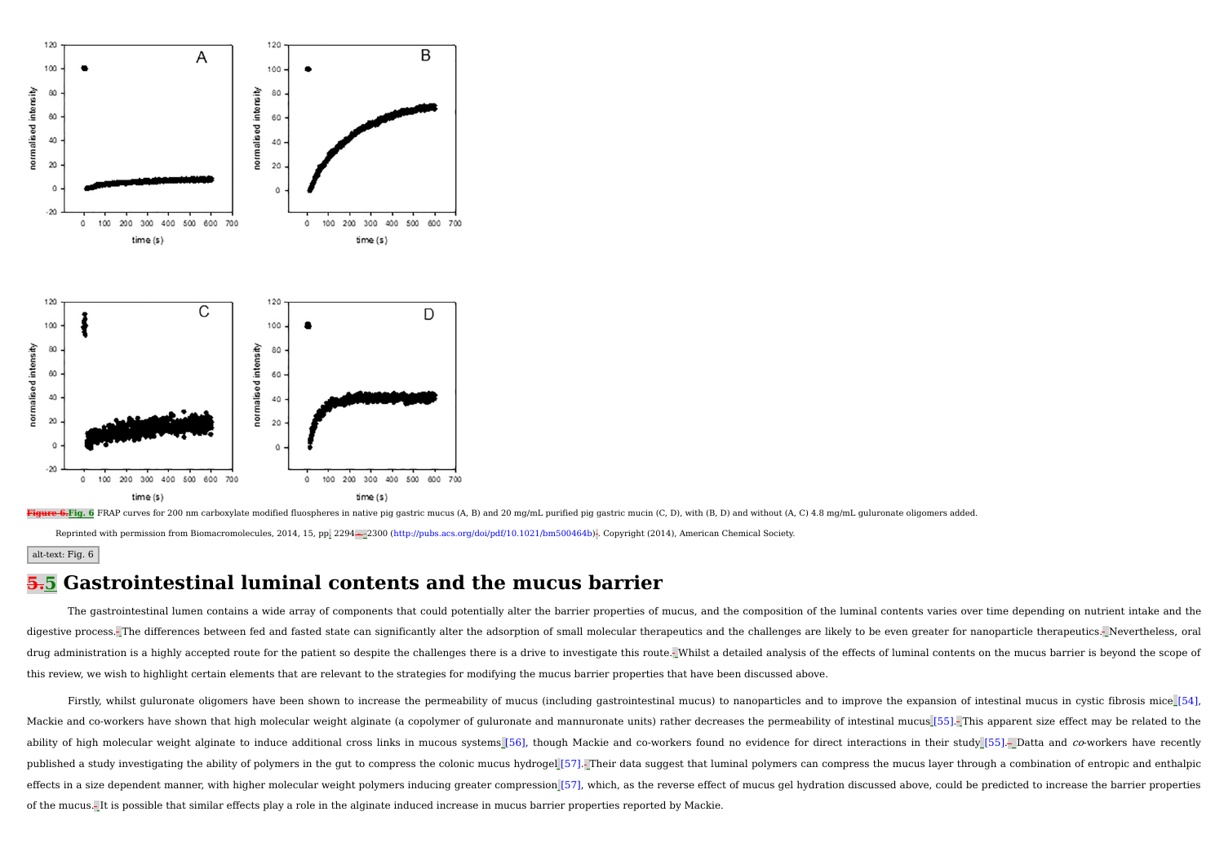



Reprinted with permission from Biomacromolecules, 2014, 15, pp. 2294—2300 (http://pubs.acs.org/doi/pdf/10.1021/bm500464b) . Copyright (2014), American Chemical Society.

#### alt-text: Fig. 6

## **5.5 Gastrointestinal luminal contents and the mucus barrier**

The gastrointestinal lumen contains a wide array of components that could potentially alter the barrier properties of mucus, and the composition of the luminal contents varies over time depending on nutrient intake and the digestive process. The differences between fed and fasted state can significantly alter the adsorption of small molecular therapeutics and the challenges are likely to be even greater for nanoparticle therapeutics. Neverth drug administration is a highly accepted route for the patient so despite the challenges there is a drive to investigate this route. Whilst a detailed analysis of the effects of luminal contents on the mucus barrier is bey this review, we wish to highlight certain elements that are relevant to the strategies for modifying the mucus barrier properties that have been discussed above.

Firstly, whilst guluronate oligomers have been shown to increase the permeability of mucus (including gastrointestinal mucus) to nanoparticles and to improve the expansion of intestinal mucus in cystic fibrosis mice [54], Mackie and co-workers have shown that high molecular weight alginate (a copolymer of guluronate and mannuronate units) rather decreases the permeability of intestinal mucus [55]. This apparent size effect may be related to ability of high molecular weight alginate to induce additional cross links in mucous systems [56], though Mackie and co-workers found no evidence for direct interactions in their study [55]. Datta and co-workers have recen published a study investigating the ability of polymers in the gut to compress the colonic mucus hydrogel [57]. Their data suggest that luminal polymers can compress the mucus layer through a combination of entropic and en effects in a size dependent manner, with higher molecular weight polymers inducing greater compression [57], which, as the reverse effect of mucus gel hydration discussed above, could be predicted to increase the barrier p of the mucus. It is possible that similar effects play a role in the alginate induced increase in mucus barrier properties reported by Mackie.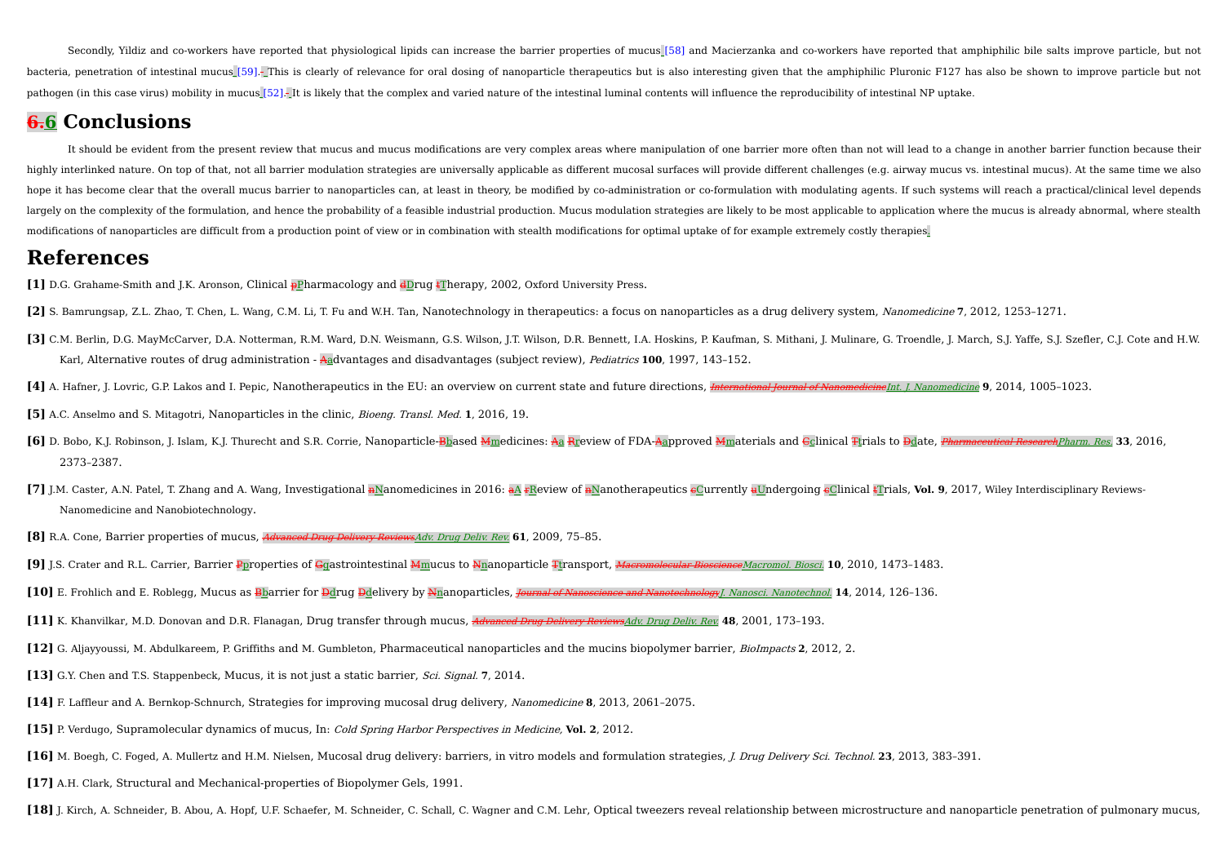Secondly, Yildiz and co-workers have reported that physiological lipids can increase the barrier properties of mucus [58] and Macierzanka and co-workers have reported that amphiphilic bile salts improve particle, but not bacteria, penetration of intestinal mucus [59]. This is clearly of relevance for oral dosing of nanoparticle therapeutics but is also interesting given that the amphiphilic Pluronic F127 has also be shown to improve partic pathogen (in this case virus) mobility in mucus [52]. It is likely that the complex and varied nature of the intestinal luminal contents will influence the reproducibility of intestinal NP uptake.

# **6.6 Conclusions**

It should be evident from the present review that mucus and mucus modifications are very complex areas where manipulation of one barrier more often than not will lead to a change in another barrier function because their highly interlinked nature. On top of that, not all barrier modulation strategies are universally applicable as different mucosal surfaces will provide different challenges (e.g. airway mucus vs. intestinal mucus). At the s hope it has become clear that the overall mucus barrier to nanoparticles can, at least in theory, be modified by co-administration or co-formulation with modulating agents. If such systems will reach a practical/clinical l largely on the complexity of the formulation, and hence the probability of a feasible industrial production. Mucus modulation strategies are likely to be most applicable to application where the mucus is already abnormal, modifications of nanoparticles are difficult from a production point of view or in combination with stealth modifications for optimal uptake of for example extremely costly therapies.

# **References**

- **[1]** D.G. Grahame-Smith and J.K. Aronson, Clinical pPharmacology and dDrug tTherapy, 2002, Oxford University Press.
- **[2]** S. Bamrungsap, Z.L. Zhao, T. Chen, L. Wang, C.M. Li, T. Fu and W.H. Tan, Nanotechnology in therapeutics: a focus on nanoparticles as a drug delivery system, Nanomedicine **7**, 2012, 1253–1271.
- [3] C.M. Berlin, D.G. MayMcCarver, D.A. Notterman, R.M. Ward, D.N. Weismann, G.S. Wilson, J.T. Wilson, D.R. Bennett, I.A. Hoskins, P. Kaufman, S. Mithani, J. Mulinare, G. Troendle, J. March, S.J. Yaffe, S.J. Szefler, C.J. Karl, Alternative routes of drug administration - Aadvantages and disadvantages (subject review), Pediatrics **100**, 1997, 143–152.
- [4] A. Hafner, J. Lovric, G.P. Lakos and I. Pepic, Nanotherapeutics in the EU: an overview on current state and future directions, *International Journal of NanomedicineInt. I. Nanomedicine* 9. 2014, 1005-1023.
- **[5]** A.C. Anselmo and S. Mitagotri, Nanoparticles in the clinic, Bioeng. Transl. Med. **1**, 2016, 19.
- [6] D. Bobo, K.J. Robinson, J. Islam, K.J. Thurecht and S.R. Corrie, Nanoparticle-Bhased Mmedicines: Aa Rreview of FDA-Aapproved Mmaterials and Gclinical Tirials to Ddate, Pharmaceutical Research Pharm. Res. 33, 2016, 2373–2387.
- [7] J.M. Caster, A.N. Patel, T. Zhang and A. Wang, Investigational nNanomedicines in 2016: a FReview of nNanotherapeutics eCurrently uUndergoing eClinical tTrials, Vol. 9, 2017, Wiley Interdisciplinary Reviews-Nanomedicine and Nanobiotechnology.
- **[8]** R.A. Cone, Barrier properties of mucus, Advanced Drug Delivery ReviewsAdv. Drug Deliv. Rev. **61**, 2009, 75–85.
- **[9]** J.S. Crater and R.L. Carrier, Barrier Pproperties of Ggastrointestinal Mmucus to Nnanoparticle Ttransport, Macromolecular BioscienceMacromol. Biosci. **10**, 2010, 1473–1483.
- **[10]** E. Frohlich and E. Roblegg, Mucus as Bbarrier for Ddrug Ddelivery by Nnanoparticles, Journal of Nanoscience and NanotechnologyJ. Nanosci. Nanotechnol. **14**, 2014, 126–136.
- **[11]** K. Khanvilkar, M.D. Donovan and D.R. Flanagan, Drug transfer through mucus, Advanced Drug Delivery ReviewsAdv. Drug Deliv. Rev. **48**, 2001, 173–193.
- **[12]** G. Aljayyoussi, M. Abdulkareem, P. Griffiths and M. Gumbleton, Pharmaceutical nanoparticles and the mucins biopolymer barrier, BioImpacts **2**, 2012, 2.
- **[13]** G.Y. Chen and T.S. Stappenbeck, Mucus, it is not just a static barrier, Sci. Signal. **7**, 2014.
- **[14]** F. Laffleur and A. Bernkop-Schnurch, Strategies for improving mucosal drug delivery, Nanomedicine **8**, 2013, 2061–2075.
- **[15]** P. Verdugo, Supramolecular dynamics of mucus, In: Cold Spring Harbor Perspectives in Medicine, **Vol. 2**, 2012.
- **[16]** M. Boegh, C. Foged, A. Mullertz and H.M. Nielsen, Mucosal drug delivery: barriers, in vitro models and formulation strategies, J. Drug Delivery Sci. Technol. **23**, 2013, 383–391.
- **[17]** A.H. Clark, Structural and Mechanical-properties of Biopolymer Gels, 1991.
- [18] J. Kirch, A. Schneider, B. Abou, A. Hopf, U.F. Schaefer, M. Schneider, C. Schall, C. Wagner and C.M. Lehr, Optical tweezers reveal relationship between microstructure and nanoparticle penetration of pulmonary mucus,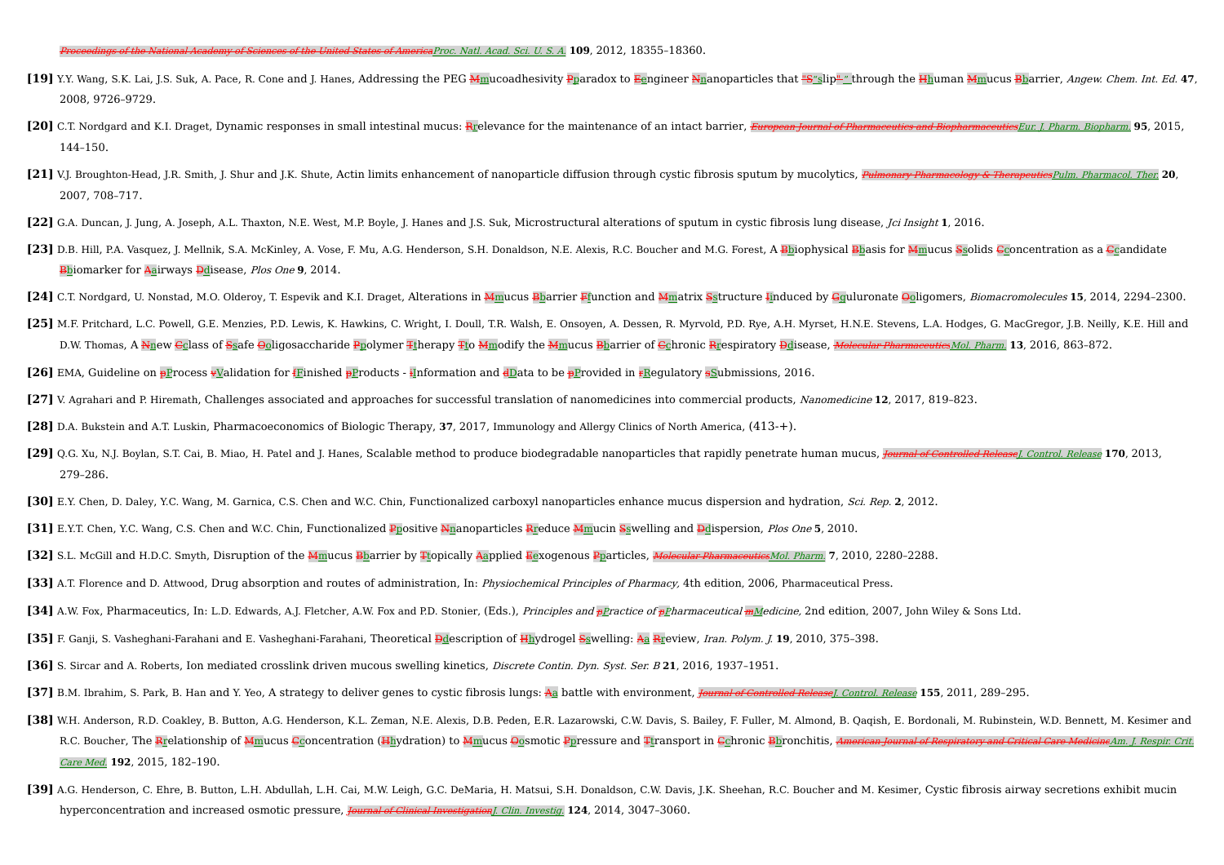- [19] Y.Y. Wang, S.K. Lai, J.S. Suk, A. Pace, R. Cone and J. Hanes, Addressing the PEG Mmucoadhesivity Pparadox to Eengineer Nnanoparticles that "S"slip" " through the Hhuman Mmucus Bbarrier, Angew. Chem. Int. Ed. 47, 2008, 9726–9729.
- [20] C.T. Nordgard and K.I. Draget, Dynamic responses in small intestinal mucus: Rrelevance for the maintenance of an intact barrier, European Journal of Pharmaceuties and Biopharmaceuties Eur. J. Pharm. Biopharm. 95, 2015 144–150.
- [21] V.J. Broughton-Head, J.R. Smith, J. Shur and J.K. Shute, Actin limits enhancement of nanoparticle diffusion through cystic fibrosis sputum by mucolytics, Pulmonary Pharmacology & TherapeuticsPulm. Pharmacol. Ther: 20, 2007, 708–717.
- **[22]** G.A. Duncan, J. Jung, A. Joseph, A.L. Thaxton, N.E. West, M.P. Boyle, J. Hanes and J.S. Suk, Microstructural alterations of sputum in cystic fibrosis lung disease, Jci Insight **1**, 2016.
- [23] D.B. Hill, P.A. Vasquez, J. Mellnik, S.A. McKinley, A. Vose, F. Mu, A.G. Henderson, S.H. Donaldson, N.E. Alexis, R.C. Boucher and M.G. Forest, A Bbiophysical Bbasis for Mmucus Ssolids Gconcentration as a Gcandidate Bbiomarker for Aairways Ddisease, Plos One **9**, 2014.
- [24] C.T. Nordgard, U. Nonstad, M.O. Olderoy, T. Espevik and K.I. Draget, Alterations in Mmucus Bharrier Ffunction and Mmatrix Sstructure Hinduced by Gguluronate Ooligomers, Biomacromolecules 15, 2014, 2294-2300.
- [25] M.F. Pritchard, L.C. Powell, G.E. Menzies, P.D. Lewis, K. Hawkins, C. Wright, I. Doull, T.R. Walsh, E. Onsoyen, A. Dessen, R. Myrvold, P.D. Rye, A.H. Myrset, H.N.E. Stevens, L.A. Hodges, G. MacGregor, J.B. Neilly, K.E D.W. Thomas, A Nnew Cclass of Ssafe Ooligosaccharide Ppolymer Ttherapy Tto Mmodify the Mmucus Bbarrier of Cchronic Rrespiratory Ddisease, Molecular PharmaceuticsMol. Pharm. **13**, 2016, 863–872.
- **[26]** EMA, Guideline on **pProcess vValidation for fFinished pProducts** information and dData to be pProvided in rRegulatory **s**Submissions, 2016.
- **[27]** V. Agrahari and P. Hiremath, Challenges associated and approaches for successful translation of nanomedicines into commercial products, Nanomedicine **12**, 2017, 819–823.
- **[28]** D.A. Bukstein and A.T. Luskin, Pharmacoeconomics of Biologic Therapy, **37**, 2017, Immunology and Allergy Clinics of North America, (413-+).
- [29] Q.G. Xu, N.J. Boylan, S.T. Cai, B. Miao, H. Patel and J. Hanes, Scalable method to produce biodegradable nanoparticles that rapidly penetrate human mucus, Journal of Controlled Release I. Control. Release 170, 2013, 279–286.
- **[30]** E.Y. Chen, D. Daley, Y.C. Wang, M. Garnica, C.S. Chen and W.C. Chin, Functionalized carboxyl nanoparticles enhance mucus dispersion and hydration, Sci. Rep. **2**, 2012.
- **[31]** E.Y.T. Chen, Y.C. Wang, C.S. Chen and W.C. Chin, Functionalized Ppositive Nnanoparticles Rreduce Mmucin Sswelling and Ddispersion, Plos One **5**, 2010.
- **[32]** S.L. McGill and H.D.C. Smyth, Disruption of the Mmucus Bbarrier by Ttopically Aapplied Eexogenous Pparticles, Molecular Pharmaceutics Mol. Pharm. 7, 2010, 2280-2288.
- **[33]** A.T. Florence and D. Attwood, Drug absorption and routes of administration, In: Physiochemical Principles of Pharmacy, 4th edition, 2006, Pharmaceutical Press.
- [34] A.W. Fox, Pharmaceutics, In: L.D. Edwards, A.J. Fletcher, A.W. Fox and P.D. Stonier, (Eds.), Principles and pPractice of pPharmaceutical mMedicine, 2nd edition, 2007, John Wiley & Sons Ltd.
- **[35]** F. Ganji, S. Vasheghani-Farahani and E. Vasheghani-Farahani, Theoretical Ddescription of Hhydrogel Sswelling: Aa Rreview, Iran. Polym. J. **19**, 2010, 375–398.
- **[36]** S. Sircar and A. Roberts, Ion mediated crosslink driven mucous swelling kinetics, Discrete Contin. Dyn. Syst. Ser. <sup>B</sup> **21**, 2016, 1937–1951.
- [37] B.M. Ibrahim, S. Park, B. Han and Y. Yeo, A strategy to deliver genes to cystic fibrosis lungs: Aa battle with environment, *Journal of Controlled Release* I. Control. Release 155, 2011, 289-295.
- <sup>[38]</sup> W.H. Anderson, R.D. Coakley, B. Button, A.G. Henderson, K.L. Zeman, N.E. Alexis, D.B. Peden, E.R. Lazarowski, C.W. Davis, S. Bailey, F. Fuller, M. Almond, B. Oagish, E. Bordonali, M. Rubinstein, W.D. Bennett, M. Kes R.C. Boucher, The Rrelationship of Mmucus Cconcentration (Hhydration) to Mmucus Oosmotic Ppressure and Ttransport in Cchronic Bbronchitis, American Journal of Respiratory and Critical Care MedicineAm. J. Respir. Crit. Care Med. **192**, 2015, 182–190.
- [39] A.G. Henderson, C. Ehre, B. Button, L.H. Abdullah, L.H. Cai, M.W. Leigh, G.C. DeMaria, H. Matsui, S.H. Donaldson, C.W. Davis, J.K. Sheehan, R.C. Boucher and M. Kesimer, Cystic fibrosis airway secretions exhibit mucin hyperconcentration and increased osmotic pressure, Journal of Clinical Investigation]. Clin. Investig. **124**, 2014, 3047-3060.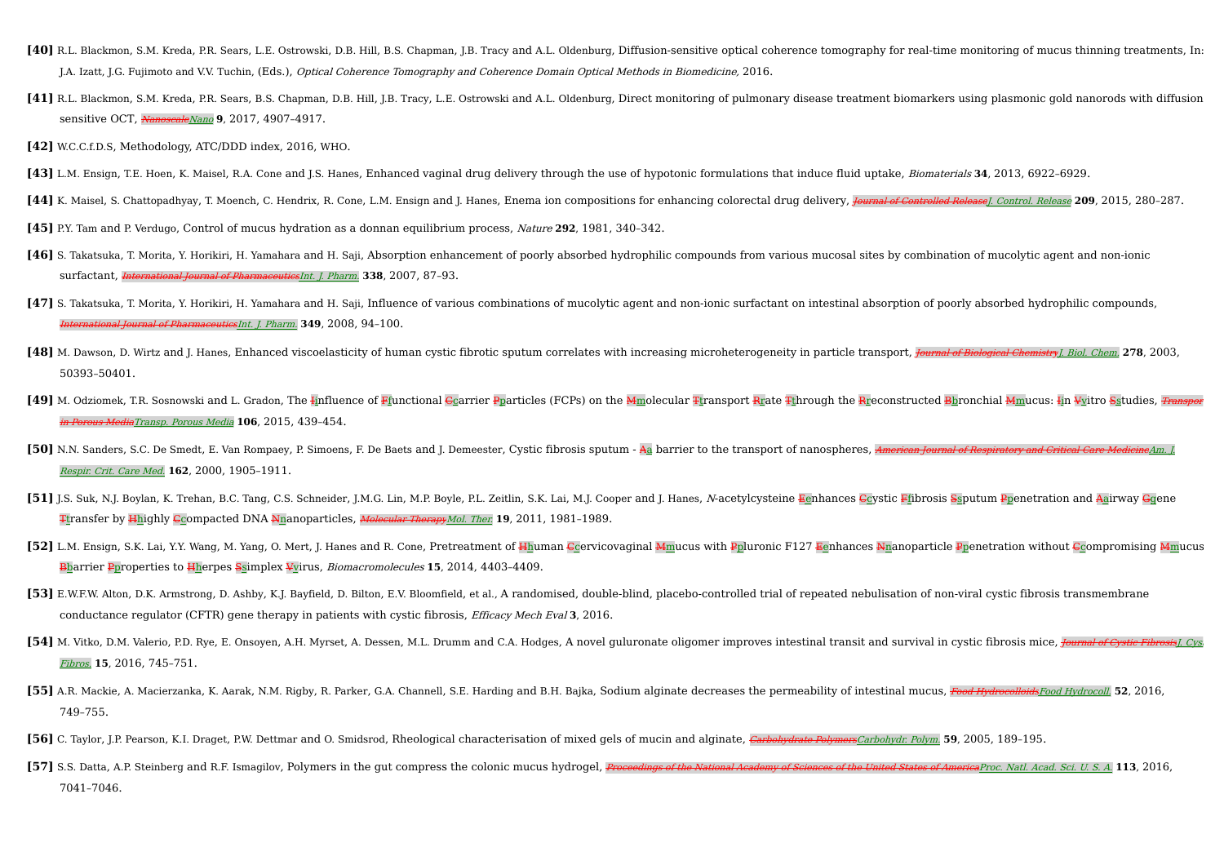- [40] R.L. Blackmon, S.M. Kreda, P.R. Sears, L.E. Ostrowski, D.B. Hill, B.S. Chapman, J.B. Tracy and A.L. Oldenburg, Diffusion-sensitive optical coherence tomography for real-time monitoring of mucus thinning treatments, In J.A. Izatt, J.G. Fujimoto and V.V. Tuchin, (Eds.), Optical Coherence Tomography and Coherence Domain Optical Methods in Biomedicine, 2016.
- [41] R.L. Blackmon, S.M. Kreda, P.R. Sears, B.S. Chapman, D.B. Hill, J.B. Tracy, L.E. Ostrowski and A.L. Oldenburg, Direct monitoring of pulmonary disease treatment biomarkers using plasmonic gold nanorods with diffusion sensitive OCT, NanoscaleNano **9**, 2017, 4907-4917.
- **[42]** W.C.C.f.D.S, Methodology, ATC/DDD index, 2016, WHO.
- **[43]** L.M. Ensign, T.E. Hoen, K. Maisel, R.A. Cone and J.S. Hanes, Enhanced vaginal drug delivery through the use of hypotonic formulations that induce fluid uptake, Biomaterials **34**, 2013, 6922–6929.
- [44] K. Maisel, S. Chattopadhyay, T. Moench, C. Hendrix, R. Cone, L.M. Ensign and J. Hanes, Enema ion compositions for enhancing colorectal drug delivery, Journal of Controlled Release I. Control. Release 209, 2015, 280-28
- **[45]** P.Y. Tam and P. Verdugo, Control of mucus hydration as a donnan equilibrium process, Nature **292**, 1981, 340–342.
- **[46]** S. Takatsuka, T. Morita, Y. Horikiri, H. Yamahara and H. Saji, Absorption enhancement of poorly absorbed hydrophilic compounds from various mucosal sites by combination of mucolytic agent and non-ionic surfactant, International Journal of PharmaceuticsInt. J. Pharm. **338**, 2007, 87–93.
- **[47]** S. Takatsuka, T. Morita, Y. Horikiri, H. Yamahara and H. Saji, Influence of various combinations of mucolytic agent and non-ionic surfactant on intestinal absorption of poorly absorbed hydrophilic compounds, International of PharmaceuticsInt. J. Pharm. **349**, 2008, 94-100.
- [48] M. Dawson, D. Wirtz and J. Hanes, Enhanced viscoelasticity of human cystic fibrotic sputum correlates with increasing microheterogeneity in particle transport, Journal of Biological Chemistry I. Biol. Chem 278, 2003, 50393–50401.
- **[49]** M. Odziomek, T.R. Sosnowski and L. Gradon, The Iinfluence of Ffunctional Ccarrier Pparticles (FCPs) on the Mmolecular Ttransport Rrate Tthrough the Rreconstructed Bbronchial Mmucus: Iin Vvitro Sstudies, Transport in Porous MediaTransp. Porous Media **106**, 2015, 439–454.
- [50] N.N. Sanders, S.C. De Smedt, E. Van Rompaey, P. Simoens, F. De Baets and J. Demeester, Cystic fibrosis sputum Aa barrier to the transport of nanospheres, American Journal of Respiratory and Critical Care Medicine Am Respir. Crit. Care Med. **162**, 2000, 1905–1911.
- [51] J.S. Suk, N.J. Boylan, K. Trehan, B.C. Tang, C.S. Schneider, J.M.G. Lin, M.P. Boyle, P.L. Zeitlin, S.K. Lai, M.J. Cooper and J. Hanes, N-acetvlcvsteine Eenhances Covstic Ffibrosis Ssputum Ppenetration and Aairway Guen Ttransfer by Hhighly Ccompacted DNA Nnanoparticles, Molecular TherapyMol. Ther. **19**, 2011, 1981–1989.
- **[52]** L.M. Ensign, S.K. Lai, Y.Y. Wang, M. Yang, O. Mert, J. Hanes and R. Cone, Pretreatment of Hhuman Ccervicovaginal Mmucus with Ppluronic F127 Eenhances Nnanoparticle Ppenetration without Ccompromising Mmucus Bbarrier Pproperties to Hherpes Ssimplex Vvirus, Biomacromolecules **15**, 2014, 4403–4409.
- [53] E.W.F.W. Alton. D.K. Armstrong. D. Ashby. K.J. Bayfield. D. Bilton. E.V. Bloomfield. et al.. A randomised. double-blind. placebo-controlled trial of repeated nebulisation of non-viral cystic fibrosis transmembrane conductance regulator (CFTR) gene therapy in patients with cystic fibrosis, Efficacy Mech Eval **3**, 2016.
- [54] M. Vitko, D.M. Valerio, P.D. Rye, E. Onsoyen, A.H. Myrset, A. Dessen, M.L. Drumm and C.A. Hodges, A novel guluronate oligomer improves intestinal transit and survival in cystic fibrosis mice, *Journal of Cystic Fibros* Fibros. **15**, 2016, 745–751.
- [55] A.R. Mackie, A. Macierzanka, K. Aarak, N.M. Rigby, R. Parker, G.A. Channell, S.E. Harding and B.H. Bajka, Sodium alginate decreases the permeability of intestinal mucus, Food Hydrocolloids Food Hydrocoll. 52, 2016, 749–755.
- [56] C. Taylor, J.P. Pearson, K.I. Draget, P.W. Dettmar and O. Smidsrod, Rheological characterisation of mixed gels of mucin and alginate, Carbohydrate PolymersCarbohydr. Polym. 59, 2005, 189-195.
- [57] S.S. Datta, A.P. Steinberg and R.F. Ismagilov, Polymers in the gut compress the colonic mucus hydrogel, Proceedings of the National Academy of Sciences of the United States of America Proc. Natl. Acad. Sci. U. S. A. 1 7041–7046.